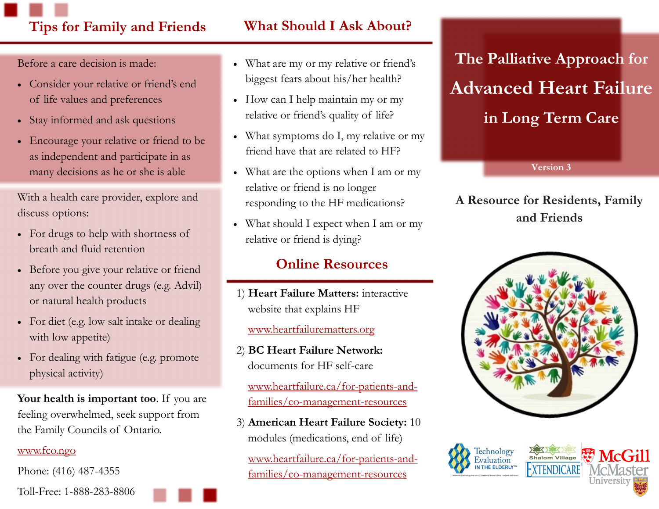# **Tips for Family and Friends What Should I Ask About?**

Before a care decision is made:

- Consider your relative or friend's end of life values and preferences
- Stay informed and ask questions
- Encourage your relative or friend to be as independent and participate in as many decisions as he or she is able

With a health care provider, explore and discuss options:

- For drugs to help with shortness of breath and fluid retention
- Before you give your relative or friend any over the counter drugs (e.g. Advil) or natural health products
- For diet (e.g. low salt intake or dealing with low appetite)
- For dealing with fatigue (e.g. promote) physical activity)

**Your health is important too**. If you are feeling overwhelmed, seek support from the Family Councils of Ontario.

#### [www.fco.ngo](http://www.fco.ngo)

Phone: (416) 487-4355

- What are my or my relative or friend's biggest fears about his/her health?
- How can I help maintain my or my relative or friend's quality of life?
- What symptoms do I, my relative or my friend have that are related to HF?
- What are the options when I am or my relative or friend is no longer responding to the HF medications?
- What should I expect when I am or my relative or friend is dying?

## **Online Resources**

1) **Heart Failure Matters:** interactive website that explains HF

#### [www.heartfailurematters.org](http://www.heartfailurematters.org)

2) **BC Heart Failure Network:** documents for HF self-care

[www.heartfailure.ca/for-patients-and](http://www.heartfailure.ca/for-patients-and-families/co-management-resources)[families/co-management-resources](http://www.heartfailure.ca/for-patients-and-families/co-management-resources)

3) **American Heart Failure Society:** 10 modules (medications, end of life)

[www.heartfailure.ca/for-patients-and](http://www.heartfailure.ca/for-patients-and-families/co-management-resources)[families/co-management-resources](http://www.heartfailure.ca/for-patients-and-families/co-management-resources)

# **The Palliative Approach for Advanced Heart Failure in Long Term Care**

**Version 3**

### **A Resource for Residents, Family and Friends**







Toll-Free: 1-888-283-8806